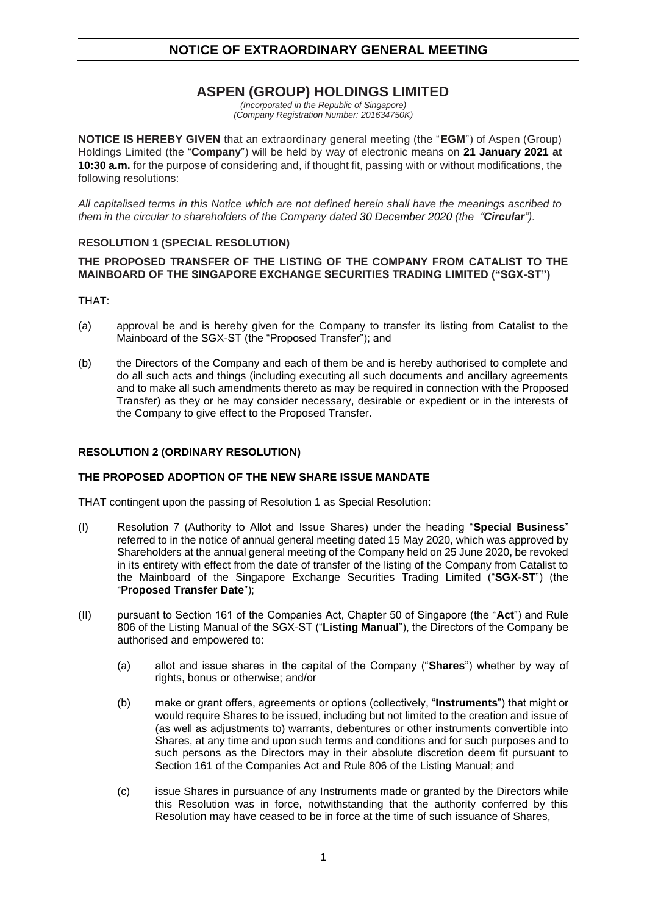## **ASPEN (GROUP) HOLDINGS LIMITED**

*(Incorporated in the Republic of Singapore) (Company Registration Number: 201634750K)*

**NOTICE IS HEREBY GIVEN** that an extraordinary general meeting (the "**EGM**") of Aspen (Group) Holdings Limited (the "**Company**") will be held by way of electronic means on **21 January 2021 at 10:30 a.m.** for the purpose of considering and, if thought fit, passing with or without modifications, the following resolutions:

*All capitalised terms in this Notice which are not defined herein shall have the meanings ascribed to them in the circular to shareholders of the Company dated 30 December 2020 (the "Circular").*

## **RESOLUTION 1 (SPECIAL RESOLUTION)**

#### **THE PROPOSED TRANSFER OF THE LISTING OF THE COMPANY FROM CATALIST TO THE MAINBOARD OF THE SINGAPORE EXCHANGE SECURITIES TRADING LIMITED ("SGX-ST")**

THAT:

- (a) approval be and is hereby given for the Company to transfer its listing from Catalist to the Mainboard of the SGX-ST (the "Proposed Transfer"); and
- (b) the Directors of the Company and each of them be and is hereby authorised to complete and do all such acts and things (including executing all such documents and ancillary agreements and to make all such amendments thereto as may be required in connection with the Proposed Transfer) as they or he may consider necessary, desirable or expedient or in the interests of the Company to give effect to the Proposed Transfer.

#### **RESOLUTION 2 (ORDINARY RESOLUTION)**

#### **THE PROPOSED ADOPTION OF THE NEW SHARE ISSUE MANDATE**

THAT contingent upon the passing of Resolution 1 as Special Resolution:

- (I) Resolution 7 (Authority to Allot and Issue Shares) under the heading "**Special Business**" referred to in the notice of annual general meeting dated 15 May 2020, which was approved by Shareholders at the annual general meeting of the Company held on 25 June 2020, be revoked in its entirety with effect from the date of transfer of the listing of the Company from Catalist to the Mainboard of the Singapore Exchange Securities Trading Limited ("**SGX-ST**") (the "**Proposed Transfer Date**");
- (II) pursuant to Section 161 of the Companies Act, Chapter 50 of Singapore (the "**Act**") and Rule 806 of the Listing Manual of the SGX-ST ("**Listing Manual**"), the Directors of the Company be authorised and empowered to:
	- (a) allot and issue shares in the capital of the Company ("**Shares**") whether by way of rights, bonus or otherwise; and/or
	- (b) make or grant offers, agreements or options (collectively, "**Instruments**") that might or would require Shares to be issued, including but not limited to the creation and issue of (as well as adjustments to) warrants, debentures or other instruments convertible into Shares, at any time and upon such terms and conditions and for such purposes and to such persons as the Directors may in their absolute discretion deem fit pursuant to Section 161 of the Companies Act and Rule 806 of the Listing Manual; and
	- (c) issue Shares in pursuance of any Instruments made or granted by the Directors while this Resolution was in force, notwithstanding that the authority conferred by this Resolution may have ceased to be in force at the time of such issuance of Shares,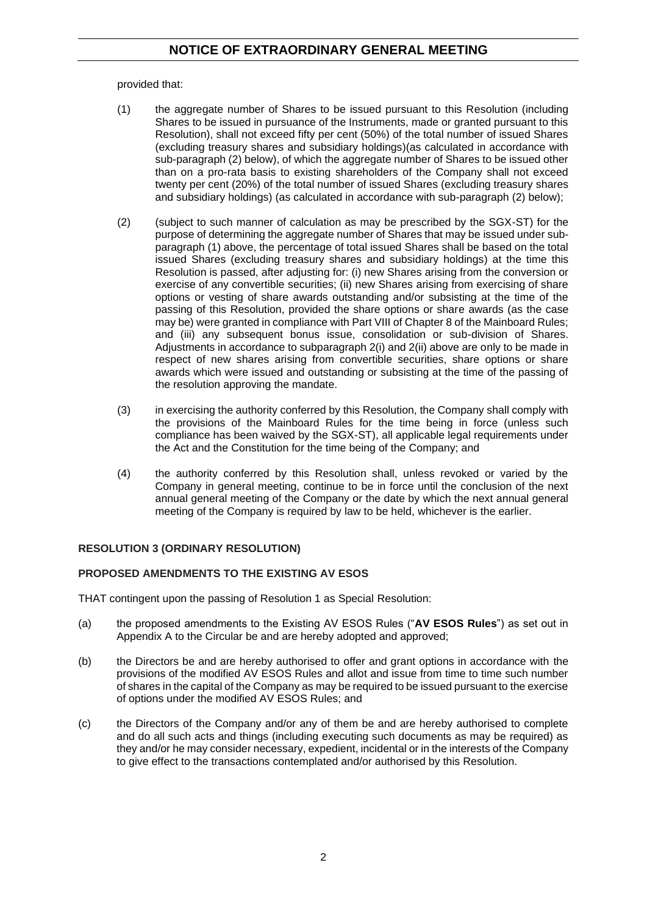provided that:

- (1) the aggregate number of Shares to be issued pursuant to this Resolution (including Shares to be issued in pursuance of the Instruments, made or granted pursuant to this Resolution), shall not exceed fifty per cent (50%) of the total number of issued Shares (excluding treasury shares and subsidiary holdings)(as calculated in accordance with sub-paragraph (2) below), of which the aggregate number of Shares to be issued other than on a pro-rata basis to existing shareholders of the Company shall not exceed twenty per cent (20%) of the total number of issued Shares (excluding treasury shares and subsidiary holdings) (as calculated in accordance with sub-paragraph (2) below);
- (2) (subject to such manner of calculation as may be prescribed by the SGX-ST) for the purpose of determining the aggregate number of Shares that may be issued under subparagraph (1) above, the percentage of total issued Shares shall be based on the total issued Shares (excluding treasury shares and subsidiary holdings) at the time this Resolution is passed, after adjusting for: (i) new Shares arising from the conversion or exercise of any convertible securities; (ii) new Shares arising from exercising of share options or vesting of share awards outstanding and/or subsisting at the time of the passing of this Resolution, provided the share options or share awards (as the case may be) were granted in compliance with Part VIII of Chapter 8 of the Mainboard Rules; and (iii) any subsequent bonus issue, consolidation or sub-division of Shares. Adjustments in accordance to subparagraph 2(i) and 2(ii) above are only to be made in respect of new shares arising from convertible securities, share options or share awards which were issued and outstanding or subsisting at the time of the passing of the resolution approving the mandate.
- (3) in exercising the authority conferred by this Resolution, the Company shall comply with the provisions of the Mainboard Rules for the time being in force (unless such compliance has been waived by the SGX-ST), all applicable legal requirements under the Act and the Constitution for the time being of the Company; and
- (4) the authority conferred by this Resolution shall, unless revoked or varied by the Company in general meeting, continue to be in force until the conclusion of the next annual general meeting of the Company or the date by which the next annual general meeting of the Company is required by law to be held, whichever is the earlier.

## **RESOLUTION 3 (ORDINARY RESOLUTION)**

## **PROPOSED AMENDMENTS TO THE EXISTING AV ESOS**

THAT contingent upon the passing of Resolution 1 as Special Resolution:

- (a) the proposed amendments to the Existing AV ESOS Rules ("**AV ESOS Rules**") as set out in Appendix A to the Circular be and are hereby adopted and approved;
- (b) the Directors be and are hereby authorised to offer and grant options in accordance with the provisions of the modified AV ESOS Rules and allot and issue from time to time such number of shares in the capital of the Company as may be required to be issued pursuant to the exercise of options under the modified AV ESOS Rules; and
- (c) the Directors of the Company and/or any of them be and are hereby authorised to complete and do all such acts and things (including executing such documents as may be required) as they and/or he may consider necessary, expedient, incidental or in the interests of the Company to give effect to the transactions contemplated and/or authorised by this Resolution.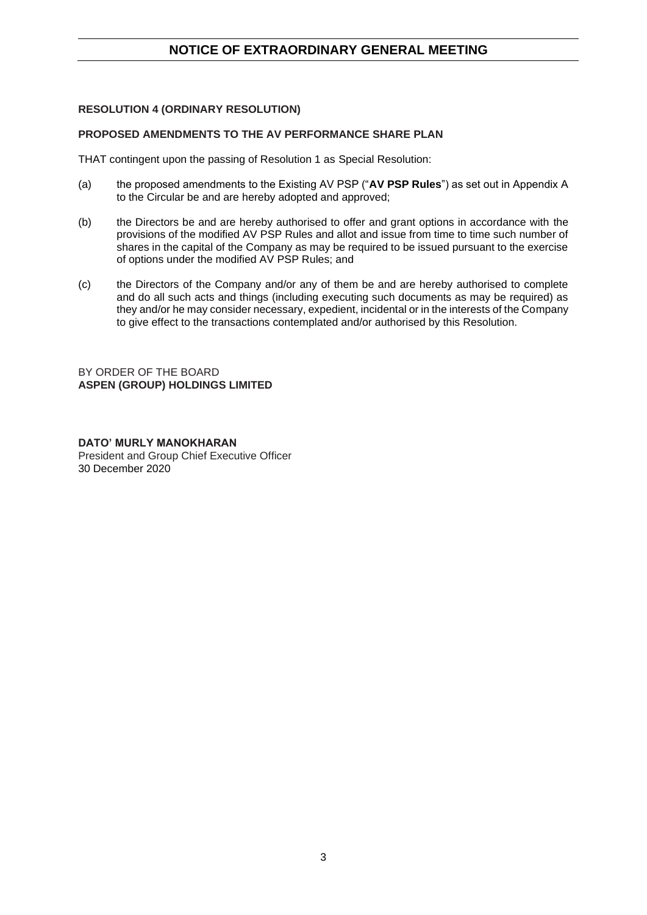## **RESOLUTION 4 (ORDINARY RESOLUTION)**

## **PROPOSED AMENDMENTS TO THE AV PERFORMANCE SHARE PLAN**

THAT contingent upon the passing of Resolution 1 as Special Resolution:

- (a) the proposed amendments to the Existing AV PSP ("**AV PSP Rules**") as set out in Appendix A to the Circular be and are hereby adopted and approved;
- (b) the Directors be and are hereby authorised to offer and grant options in accordance with the provisions of the modified AV PSP Rules and allot and issue from time to time such number of shares in the capital of the Company as may be required to be issued pursuant to the exercise of options under the modified AV PSP Rules; and
- (c) the Directors of the Company and/or any of them be and are hereby authorised to complete and do all such acts and things (including executing such documents as may be required) as they and/or he may consider necessary, expedient, incidental or in the interests of the Company to give effect to the transactions contemplated and/or authorised by this Resolution.

BY ORDER OF THE BOARD **ASPEN (GROUP) HOLDINGS LIMITED**

**DATO' MURLY MANOKHARAN** President and Group Chief Executive Officer 30 December 2020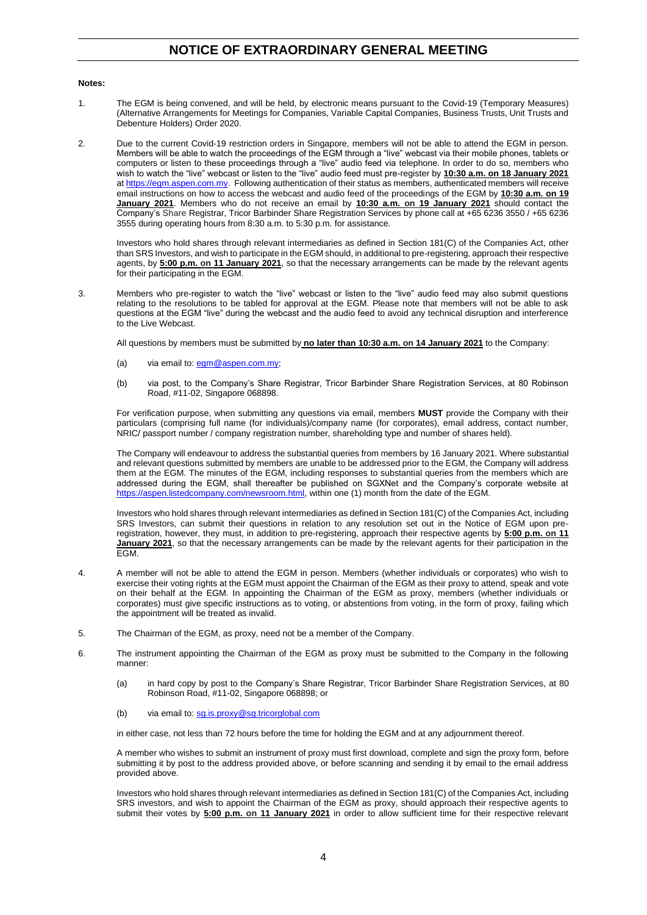#### **Notes:**

- 1. The EGM is being convened, and will be held, by electronic means pursuant to the Covid-19 (Temporary Measures) (Alternative Arrangements for Meetings for Companies, Variable Capital Companies, Business Trusts, Unit Trusts and Debenture Holders) Order 2020.
- 2. Due to the current Covid-19 restriction orders in Singapore, members will not be able to attend the EGM in person. Members will be able to watch the proceedings of the EGM through a "live" webcast via their mobile phones, tablets or computers or listen to these proceedings through a "live" audio feed via telephone. In order to do so, members who wish to watch the "live" webcast or listen to the "live" audio feed must pre-register by **10:30 a.m. on 18 January 2021** at [https://egm.aspen.com.my.](https://egm.aspen.com.my/) Following authentication of their status as members, authenticated members will receive email instructions on how to access the webcast and audio feed of the proceedings of the EGM by **10:30 a.m. on 19 January 2021**. Members who do not receive an email by **10:30 a.m. on 19 January 2021** should contact the Company's Share Registrar, Tricor Barbinder Share Registration Services by phone call at +65 6236 3550 / +65 6236 3555 during operating hours from 8:30 a.m. to 5:30 p.m. for assistance.

Investors who hold shares through relevant intermediaries as defined in Section 181(C) of the Companies Act, other than SRS Investors, and wish to participate in the EGM should, in additional to pre-registering, approach their respective agents, by **5:00 p.m. on 11 January 2021**, so that the necessary arrangements can be made by the relevant agents for their participating in the EGM.

3. Members who pre-register to watch the "live" webcast or listen to the "live" audio feed may also submit questions relating to the resolutions to be tabled for approval at the EGM. Please note that members will not be able to ask questions at the EGM "live" during the webcast and the audio feed to avoid any technical disruption and interference to the Live Webcast.

All questions by members must be submitted by **no later than 10:30 a.m. on 14 January 2021** to the Company:

- (a) via email to[: egm@aspen.com.my;](mailto:egm@aspen.com.my)
- (b) via post, to the Company's Share Registrar, Tricor Barbinder Share Registration Services, at 80 Robinson Road, #11-02, Singapore 068898.

For verification purpose, when submitting any questions via email, members **MUST** provide the Company with their particulars (comprising full name (for individuals)/company name (for corporates), email address, contact number, NRIC/ passport number / company registration number, shareholding type and number of shares held).

The Company will endeavour to address the substantial queries from members by 16 January 2021. Where substantial and relevant questions submitted by members are unable to be addressed prior to the EGM, the Company will address them at the EGM. The minutes of the EGM, including responses to substantial queries from the members which are addressed during the EGM, shall thereafter be published on SGXNet and the Company's corporate website at [https://aspen.listedcompany.com/newsroom.html,](https://aspen.listedcompany.com/newsroom.html) within one (1) month from the date of the EGM.

Investors who hold shares through relevant intermediaries as defined in Section 181(C) of the Companies Act, including SRS Investors, can submit their questions in relation to any resolution set out in the Notice of EGM upon preregistration, however, they must, in addition to pre-registering, approach their respective agents by **5:00 p.m. on 11 January 2021**, so that the necessary arrangements can be made by the relevant agents for their participation in the EGM.

- 4. A member will not be able to attend the EGM in person. Members (whether individuals or corporates) who wish to exercise their voting rights at the EGM must appoint the Chairman of the EGM as their proxy to attend, speak and vote on their behalf at the EGM. In appointing the Chairman of the EGM as proxy, members (whether individuals or corporates) must give specific instructions as to voting, or abstentions from voting, in the form of proxy, failing which the appointment will be treated as invalid.
- 5. The Chairman of the EGM, as proxy, need not be a member of the Company.
- 6. The instrument appointing the Chairman of the EGM as proxy must be submitted to the Company in the following manner:
	- (a) in hard copy by post to the Company's Share Registrar, Tricor Barbinder Share Registration Services, at 80 Robinson Road, #11-02, Singapore 068898; or
	- (b) via email to[: sg.is.proxy@sg.tricorglobal.com](mailto:sg.is.proxy@sg.tricorglobal.com)

in either case, not less than 72 hours before the time for holding the EGM and at any adjournment thereof.

A member who wishes to submit an instrument of proxy must first download, complete and sign the proxy form, before submitting it by post to the address provided above, or before scanning and sending it by email to the email address provided above.

Investors who hold shares through relevant intermediaries as defined in Section 181(C) of the Companies Act, including SRS investors, and wish to appoint the Chairman of the EGM as proxy, should approach their respective agents to submit their votes by **5:00 p.m. on 11 January 2021** in order to allow sufficient time for their respective relevant